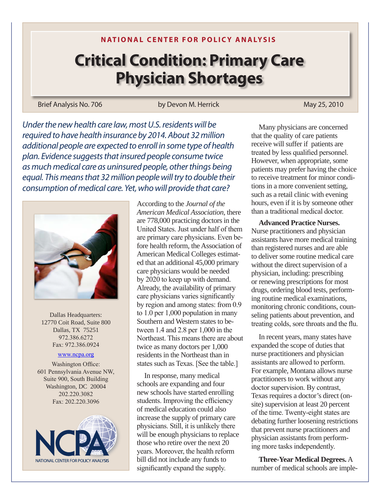**NATIONAL CENTER FOR POLICY ANALYSIS**

## **Critical Condition: Primary Care Physician Shortages**

Brief Analysis No. 706 by Devon M. Herrick May 25, 2010

*Under the new health care law, most U.S. residents will be required to have health insurance by 2014. About 32 million additional people are expected to enroll in some type of health plan. Evidence suggests that insured people consume twice as much medical care as uninsured people, other things being equal. This means that 32 million people will try to double their consumption of medical care. Yet, who will provide that care?*



Dallas Headquarters: 12770 Coit Road, Suite 800 Dallas, TX 75251 972.386.6272 Fax: 972.386.0924

## [www.ncpa.or](www.ncpa.org)g

Washington Office: 601 Pennsylvania Avenue NW, Suite 900, South Building Washington, DC 20004 202.220.3082 Fax: 202.220.3096



According to the *Journal of the American Medical Association*, there are 778,000 practicing doctors in the United States. Just under half of them are primary care physicians. Even before health reform, the Association of American Medical Colleges estimated that an additional 45,000 primary care physicians would be needed by 2020 to keep up with demand. Already, the availability of primary care physicians varies significantly by region and among states: from 0.9 to 1.0 per 1,000 population in many Southern and Western states to between 1.4 and 2.8 per 1,000 in the Northeast. This means there are about twice as many doctors per 1,000 residents in the Northeast than in states such as Texas. [See the table.]

In response, many medical schools are expanding and four new schools have started enrolling students. Improving the efficiency of medical education could also increase the supply of primary care physicians. Still, it is unlikely there will be enough physicians to replace those who retire over the next 20 years. Moreover, the health reform bill did not include any funds to significantly expand the supply.

Many physicians are concerned that the quality of care patients receive will suffer if patients are treated by less qualified personnel. However, when appropriate, some patients may prefer having the choice to receive treatment for minor conditions in a more convenient setting, such as a retail clinic with evening hours, even if it is by someone other than a traditional medical doctor.

**Advanced Practice Nurses.** Nurse practitioners and physician assistants have more medical training than registered nurses and are able to deliver some routine medical care without the direct supervision of a physician, including: prescribing or renewing prescriptions for most drugs, ordering blood tests, performing routine medical examinations, monitoring chronic conditions, counseling patients about prevention, and treating colds, sore throats and the flu.

In recent years, many states have expanded the scope of duties that nurse practitioners and physician assistants are allowed to perform. For example, Montana allows nurse practitioners to work without any doctor supervision. By contrast, Texas requires a doctor's direct (onsite) supervision at least 20 percent of the time. Twenty-eight states are debating further loosening restrictions that prevent nurse practitioners and physician assistants from performing more tasks independently.

**Three-Year Medical Degrees.** A number of medical schools are imple